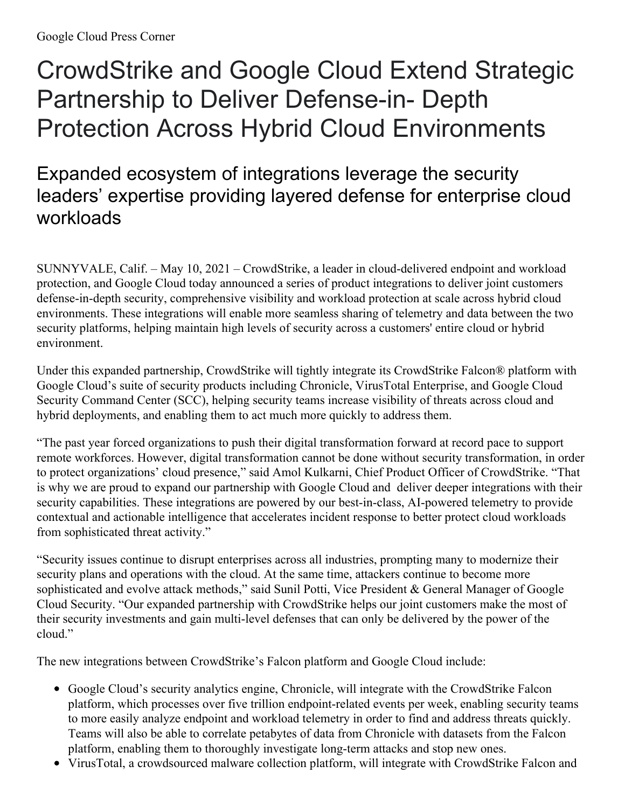# CrowdStrike and Google Cloud Extend Strategic Partnership to Deliver Defense-in- Depth Protection Across Hybrid Cloud Environments

## Expanded ecosystem of integrations leverage the security leaders' expertise providing layered defense for enterprise cloud workloads

SUNNYVALE, Calif. – May 10, 2021 – CrowdStrike, a leader in cloud-delivered endpoint and workload protection, and Google Cloud today announced a series of product integrations to deliver joint customers defense-in-depth security, comprehensive visibility and workload protection at scale across hybrid cloud environments. These integrations will enable more seamless sharing of telemetry and data between the two security platforms, helping maintain high levels of security across a customers' entire cloud or hybrid environment.

Under this expanded partnership, CrowdStrike will tightly integrate its CrowdStrike Falcon® platform with Google Cloud's suite of security products including Chronicle, VirusTotal Enterprise, and Google Cloud Security Command Center (SCC), helping security teams increase visibility of threats across cloud and hybrid deployments, and enabling them to act much more quickly to address them.

"The past year forced organizations to push their digital transformation forward at record pace to support remote workforces. However, digital transformation cannot be done without security transformation, in order to protect organizations' cloud presence," said Amol Kulkarni, Chief Product Officer of CrowdStrike. "That is why we are proud to expand our partnership with Google Cloud and deliver deeper integrations with their security capabilities. These integrations are powered by our best-in-class, AI-powered telemetry to provide contextual and actionable intelligence that accelerates incident response to better protect cloud workloads from sophisticated threat activity."

"Security issues continue to disrupt enterprises across all industries, prompting many to modernize their security plans and operations with the cloud. At the same time, attackers continue to become more sophisticated and evolve attack methods," said Sunil Potti, Vice President & General Manager of Google Cloud Security. "Our expanded partnership with CrowdStrike helps our joint customers make the most of their security investments and gain multi-level defenses that can only be delivered by the power of the cloud."

The new integrations between CrowdStrike's Falcon platform and Google Cloud include:

- Google Cloud's security analytics engine, Chronicle, will integrate with the CrowdStrike Falcon platform, which processes over five trillion endpoint-related events per week, enabling security teams to more easily analyze endpoint and workload telemetry in order to find and address threats quickly. Teams will also be able to correlate petabytes of data from Chronicle with datasets from the Falcon platform, enabling them to thoroughly investigate long-term attacks and stop new ones.
- VirusTotal, a crowdsourced malware collection platform, will integrate with CrowdStrike Falcon and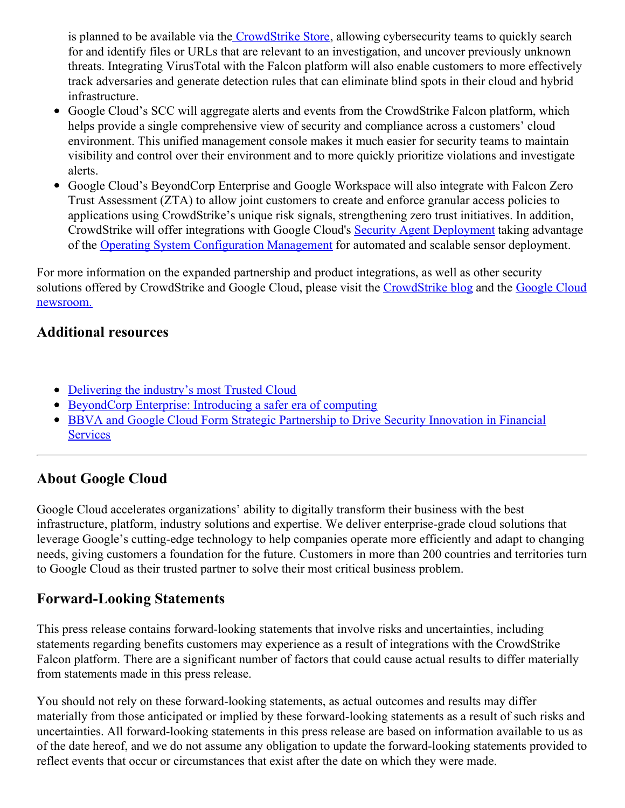is planned to be available via the [CrowdStrike](http://provinggrounds.cs.sys/endpoint-security-products/crowdstrike-store/) Store, allowing cybersecurity teams to quickly search for and identify files or URLs that are relevant to an investigation, and uncover previously unknown threats. Integrating VirusTotal with the Falcon platform will also enable customers to more effectively track adversaries and generate detection rules that can eliminate blind spots in their cloud and hybrid infrastructure.

- Google Cloud's SCC will aggregate alerts and events from the CrowdStrike Falcon platform, which helps provide a single comprehensive view of security and compliance across a customers' cloud environment. This unified management console makes it much easier for security teams to maintain visibility and control over their environment and to more quickly prioritize violations and investigate alerts.
- Google Cloud's BeyondCorp Enterprise and Google Workspace will also integrate with Falcon Zero Trust Assessment (ZTA) to allow joint customers to create and enforce granular access policies to applications using CrowdStrike's unique risk signals, strengthening zero trust initiatives. In addition, CrowdStrike will offer integrations with Google Cloud's Security Agent [Deployment](https://cloud.google.com/marketplace/docs/deploy-security-software-agents) taking advantage of the Operating System [Configuration](https://cloud.google.com/compute/docs/os-config-management) Management for automated and scalable sensor deployment.

For more information on the expanded partnership and product integrations, as well as other security solutions offered by [CrowdStrike](https://cloud.google.com/press-releases) and Google Cloud, please visit the [CrowdStrike](https://www.crowdstrike.com/blog/) blog and the Google Cloud newsroom.

#### **Additional resources**

- [Delivering](https://cloud.google.com/blog/products/identity-security/delivering-the-industrys-most-trusted-cloud) the industry's most Trusted Cloud
- [BeyondCorp](https://cloud.google.com/blog/products/identity-security/introducing-beyondcorp-enterprise) Enterprise: Introducing a safer era of computing
- BBVA and Google Cloud Form Strategic [Partnership](https://cloud.google.com/press-releases/2021/0223/bbva-google-cloud) to Drive Security Innovation in Financial **Services**

### **About Google Cloud**

Google Cloud accelerates organizations' ability to digitally transform their business with the best infrastructure, platform, industry solutions and expertise. We deliver enterprise-grade cloud solutions that leverage Google's cutting-edge technology to help companies operate more efficiently and adapt to changing needs, giving customers a foundation for the future. Customers in more than 200 countries and territories turn to Google Cloud as their trusted partner to solve their most critical business problem.

### **Forward-Looking Statements**

This press release contains forward-looking statements that involve risks and uncertainties, including statements regarding benefits customers may experience as a result of integrations with the CrowdStrike Falcon platform. There are a significant number of factors that could cause actual results to differ materially from statements made in this press release.

You should not rely on these forward-looking statements, as actual outcomes and results may differ materially from those anticipated or implied by these forward-looking statements as a result of such risks and uncertainties. All forward-looking statements in this press release are based on information available to us as of the date hereof, and we do not assume any obligation to update the forward-looking statements provided to reflect events that occur or circumstances that exist after the date on which they were made.